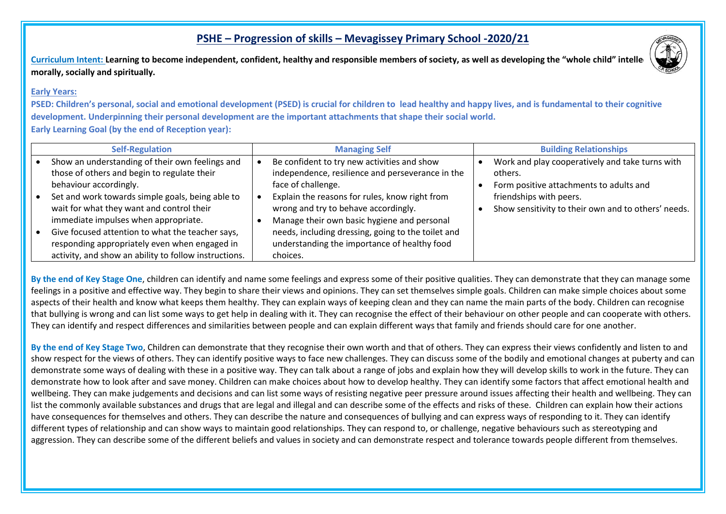## **PSHE – Progression of skills – Mevagissey Primary School -2020/21**

Curriculum Intent: Learning to become independent, confident, healthy and responsible members of society, as well as developing the "whole child" intelle **morally, socially and spiritually.**

## **Early Years:**

**PSED: Children's personal, social and emotional development (PSED) is crucial for children to lead healthy and happy lives, and is fundamental to their cognitive development. Underpinning their personal development are the important attachments that shape their social world. Early Learning Goal (by the end of Reception year):** 

| <b>Self-Regulation</b>                                | <b>Managing Self</b>                               | <b>Building Relationships</b>                       |
|-------------------------------------------------------|----------------------------------------------------|-----------------------------------------------------|
| Show an understanding of their own feelings and       | Be confident to try new activities and show        | Work and play cooperatively and take turns with     |
| those of others and begin to regulate their           | independence, resilience and perseverance in the   | others.                                             |
| behaviour accordingly.                                | face of challenge.                                 | Form positive attachments to adults and             |
| Set and work towards simple goals, being able to      | Explain the reasons for rules, know right from     | friendships with peers.                             |
| wait for what they want and control their             | wrong and try to behave accordingly.               | Show sensitivity to their own and to others' needs. |
| immediate impulses when appropriate.                  | Manage their own basic hygiene and personal        |                                                     |
| Give focused attention to what the teacher says,      | needs, including dressing, going to the toilet and |                                                     |
| responding appropriately even when engaged in         | understanding the importance of healthy food       |                                                     |
| activity, and show an ability to follow instructions. | choices.                                           |                                                     |

By the end of Key Stage One, children can identify and name some feelings and express some of their positive qualities. They can demonstrate that they can manage some feelings in a positive and effective way. They begin to share their views and opinions. They can set themselves simple goals. Children can make simple choices about some aspects of their health and know what keeps them healthy. They can explain ways of keeping clean and they can name the main parts of the body. Children can recognise that bullying is wrong and can list some ways to get help in dealing with it. They can recognise the effect of their behaviour on other people and can cooperate with others. They can identify and respect differences and similarities between people and can explain different ways that family and friends should care for one another.

**By the end of Key Stage Two**, Children can demonstrate that they recognise their own worth and that of others. They can express their views confidently and listen to and show respect for the views of others. They can identify positive ways to face new challenges. They can discuss some of the bodily and emotional changes at puberty and can demonstrate some ways of dealing with these in a positive way. They can talk about a range of jobs and explain how they will develop skills to work in the future. They can demonstrate how to look after and save money. Children can make choices about how to develop healthy. They can identify some factors that affect emotional health and wellbeing. They can make judgements and decisions and can list some ways of resisting negative peer pressure around issues affecting their health and wellbeing. They can list the commonly available substances and drugs that are legal and illegal and can describe some of the effects and risks of these. Children can explain how their actions have consequences for themselves and others. They can describe the nature and consequences of bullying and can express ways of responding to it. They can identify different types of relationship and can show ways to maintain good relationships. They can respond to, or challenge, negative behaviours such as stereotyping and aggression. They can describe some of the different beliefs and values in society and can demonstrate respect and tolerance towards people different from themselves.

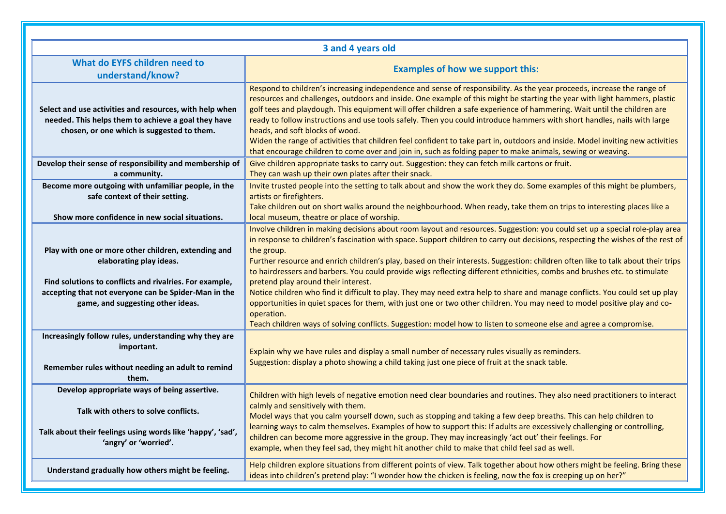|                                                                                                                                                                                                                                                                                          | 3 and 4 years old                                                                                                                                                                                                                                                                                                                                                                                                                                                                                                                                                                                                                                                                                                                                                                                                                                                                                                                                                                                                                 |
|------------------------------------------------------------------------------------------------------------------------------------------------------------------------------------------------------------------------------------------------------------------------------------------|-----------------------------------------------------------------------------------------------------------------------------------------------------------------------------------------------------------------------------------------------------------------------------------------------------------------------------------------------------------------------------------------------------------------------------------------------------------------------------------------------------------------------------------------------------------------------------------------------------------------------------------------------------------------------------------------------------------------------------------------------------------------------------------------------------------------------------------------------------------------------------------------------------------------------------------------------------------------------------------------------------------------------------------|
| What do EYFS children need to<br>understand/know?                                                                                                                                                                                                                                        | <b>Examples of how we support this:</b>                                                                                                                                                                                                                                                                                                                                                                                                                                                                                                                                                                                                                                                                                                                                                                                                                                                                                                                                                                                           |
| Select and use activities and resources, with help when<br>needed. This helps them to achieve a goal they have<br>chosen, or one which is suggested to them.                                                                                                                             | Respond to children's increasing independence and sense of responsibility. As the year proceeds, increase the range of<br>resources and challenges, outdoors and inside. One example of this might be starting the year with light hammers, plastic<br>golf tees and playdough. This equipment will offer children a safe experience of hammering. Wait until the children are<br>ready to follow instructions and use tools safely. Then you could introduce hammers with short handles, nails with large<br>heads, and soft blocks of wood.<br>Widen the range of activities that children feel confident to take part in, outdoors and inside. Model inviting new activities<br>that encourage children to come over and join in, such as folding paper to make animals, sewing or weaving.                                                                                                                                                                                                                                    |
| Develop their sense of responsibility and membership of<br>a community.                                                                                                                                                                                                                  | Give children appropriate tasks to carry out. Suggestion: they can fetch milk cartons or fruit.<br>They can wash up their own plates after their snack.                                                                                                                                                                                                                                                                                                                                                                                                                                                                                                                                                                                                                                                                                                                                                                                                                                                                           |
| Become more outgoing with unfamiliar people, in the<br>safe context of their setting.                                                                                                                                                                                                    | Invite trusted people into the setting to talk about and show the work they do. Some examples of this might be plumbers,<br>artists or firefighters.<br>Take children out on short walks around the neighbourhood. When ready, take them on trips to interesting places like a                                                                                                                                                                                                                                                                                                                                                                                                                                                                                                                                                                                                                                                                                                                                                    |
| Show more confidence in new social situations.<br>Play with one or more other children, extending and<br>elaborating play ideas.<br>Find solutions to conflicts and rivalries. For example,<br>accepting that not everyone can be Spider-Man in the<br>game, and suggesting other ideas. | local museum, theatre or place of worship.<br>Involve children in making decisions about room layout and resources. Suggestion: you could set up a special role-play area<br>in response to children's fascination with space. Support children to carry out decisions, respecting the wishes of the rest of<br>the group.<br>Further resource and enrich children's play, based on their interests. Suggestion: children often like to talk about their trips<br>to hairdressers and barbers. You could provide wigs reflecting different ethnicities, combs and brushes etc. to stimulate<br>pretend play around their interest.<br>Notice children who find it difficult to play. They may need extra help to share and manage conflicts. You could set up play<br>opportunities in quiet spaces for them, with just one or two other children. You may need to model positive play and co-<br>operation.<br>Teach children ways of solving conflicts. Suggestion: model how to listen to someone else and agree a compromise. |
| Increasingly follow rules, understanding why they are<br>important.<br>Remember rules without needing an adult to remind<br>them.                                                                                                                                                        | Explain why we have rules and display a small number of necessary rules visually as reminders.<br>Suggestion: display a photo showing a child taking just one piece of fruit at the snack table.                                                                                                                                                                                                                                                                                                                                                                                                                                                                                                                                                                                                                                                                                                                                                                                                                                  |
| Develop appropriate ways of being assertive.<br>Talk with others to solve conflicts.<br>Talk about their feelings using words like 'happy', 'sad',<br>'angry' or 'worried'.                                                                                                              | Children with high levels of negative emotion need clear boundaries and routines. They also need practitioners to interact<br>calmly and sensitively with them.<br>Model ways that you calm yourself down, such as stopping and taking a few deep breaths. This can help children to<br>learning ways to calm themselves. Examples of how to support this: If adults are excessively challenging or controlling,<br>children can become more aggressive in the group. They may increasingly 'act out' their feelings. For<br>example, when they feel sad, they might hit another child to make that child feel sad as well.                                                                                                                                                                                                                                                                                                                                                                                                       |
| Understand gradually how others might be feeling.                                                                                                                                                                                                                                        | Help children explore situations from different points of view. Talk together about how others might be feeling. Bring these<br>ideas into children's pretend play: "I wonder how the chicken is feeling, now the fox is creeping up on her?"                                                                                                                                                                                                                                                                                                                                                                                                                                                                                                                                                                                                                                                                                                                                                                                     |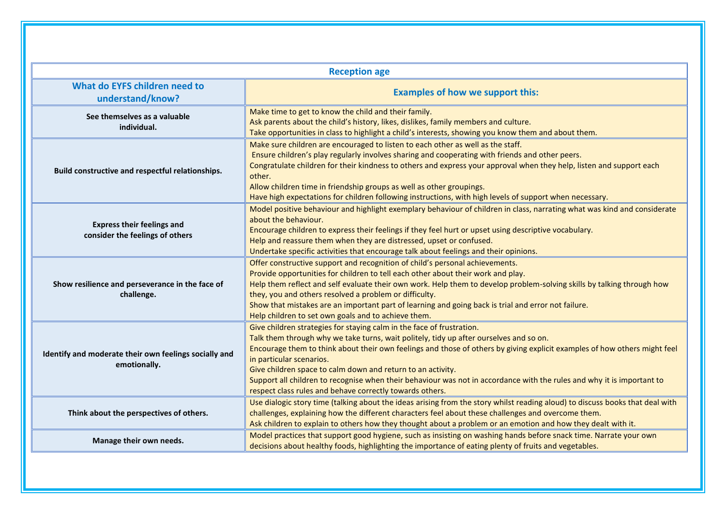|                                                                       | <b>Reception age</b>                                                                                                                                                                                                                                                                                                                                                                                                                                                                                                                                                          |
|-----------------------------------------------------------------------|-------------------------------------------------------------------------------------------------------------------------------------------------------------------------------------------------------------------------------------------------------------------------------------------------------------------------------------------------------------------------------------------------------------------------------------------------------------------------------------------------------------------------------------------------------------------------------|
| What do EYFS children need to<br>understand/know?                     | <b>Examples of how we support this:</b>                                                                                                                                                                                                                                                                                                                                                                                                                                                                                                                                       |
| See themselves as a valuable<br>individual.                           | Make time to get to know the child and their family.<br>Ask parents about the child's history, likes, dislikes, family members and culture.<br>Take opportunities in class to highlight a child's interests, showing you know them and about them.                                                                                                                                                                                                                                                                                                                            |
| Build constructive and respectful relationships.                      | Make sure children are encouraged to listen to each other as well as the staff.<br>Ensure children's play regularly involves sharing and cooperating with friends and other peers.<br>Congratulate children for their kindness to others and express your approval when they help, listen and support each<br>other.<br>Allow children time in friendship groups as well as other groupings.<br>Have high expectations for children following instructions, with high levels of support when necessary.                                                                       |
| <b>Express their feelings and</b><br>consider the feelings of others  | Model positive behaviour and highlight exemplary behaviour of children in class, narrating what was kind and considerate<br>about the behaviour.<br>Encourage children to express their feelings if they feel hurt or upset using descriptive vocabulary.<br>Help and reassure them when they are distressed, upset or confused.<br>Undertake specific activities that encourage talk about feelings and their opinions.                                                                                                                                                      |
| Show resilience and perseverance in the face of<br>challenge.         | Offer constructive support and recognition of child's personal achievements.<br>Provide opportunities for children to tell each other about their work and play.<br>Help them reflect and self evaluate their own work. Help them to develop problem-solving skills by talking through how<br>they, you and others resolved a problem or difficulty.<br>Show that mistakes are an important part of learning and going back is trial and error not failure.<br>Help children to set own goals and to achieve them.                                                            |
| Identify and moderate their own feelings socially and<br>emotionally. | Give children strategies for staying calm in the face of frustration.<br>Talk them through why we take turns, wait politely, tidy up after ourselves and so on.<br>Encourage them to think about their own feelings and those of others by giving explicit examples of how others might feel<br>in particular scenarios.<br>Give children space to calm down and return to an activity.<br>Support all children to recognise when their behaviour was not in accordance with the rules and why it is important to<br>respect class rules and behave correctly towards others. |
| Think about the perspectives of others.                               | Use dialogic story time (talking about the ideas arising from the story whilst reading aloud) to discuss books that deal with<br>challenges, explaining how the different characters feel about these challenges and overcome them.<br>Ask children to explain to others how they thought about a problem or an emotion and how they dealt with it.                                                                                                                                                                                                                           |
| Manage their own needs.                                               | Model practices that support good hygiene, such as insisting on washing hands before snack time. Narrate your own<br>decisions about healthy foods, highlighting the importance of eating plenty of fruits and vegetables.                                                                                                                                                                                                                                                                                                                                                    |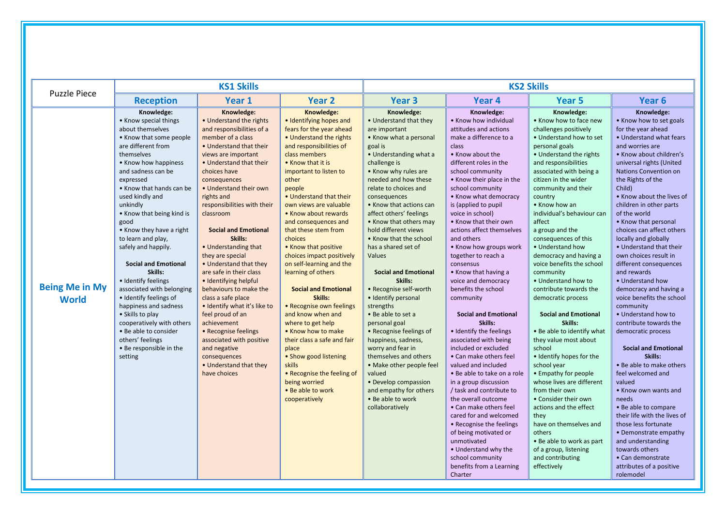|                                       |                                                                                                                                                                                                                                                                                                                                                                                                                                                                                                                                                                                                                                                 | <b>KS1 Skills</b>                                                                                                                                                                                                                                                                                                                                                                                                                                                                                                                                                                                                                                                                                             |                                                                                                                                                                                                                                                                                                                                                                                                                                                                                                                                                                                                                                                                                                                                                                        |                                                                                                                                                                                                                                                                                                                                                                                                                                                                                                                                                                                                                                                                                                                                                                                 | <b>KS2 Skills</b>                                                                                                                                                                                                                                                                                                                                                                                                                                                                                                                                                                                                                                                                                                                                                                                                                                                                                                                                                                                         |                                                                                                                                                                                                                                                                                                                                                                                                                                                                                                                                                                                                                                                                                                                                                                                                                                                                                                                                           |                                                                                                                                                                                                                                                                                                                                                                                                                                                                                                                                                                                                                                                                                                                                                                                                                                                                                                                                                                                               |  |
|---------------------------------------|-------------------------------------------------------------------------------------------------------------------------------------------------------------------------------------------------------------------------------------------------------------------------------------------------------------------------------------------------------------------------------------------------------------------------------------------------------------------------------------------------------------------------------------------------------------------------------------------------------------------------------------------------|---------------------------------------------------------------------------------------------------------------------------------------------------------------------------------------------------------------------------------------------------------------------------------------------------------------------------------------------------------------------------------------------------------------------------------------------------------------------------------------------------------------------------------------------------------------------------------------------------------------------------------------------------------------------------------------------------------------|------------------------------------------------------------------------------------------------------------------------------------------------------------------------------------------------------------------------------------------------------------------------------------------------------------------------------------------------------------------------------------------------------------------------------------------------------------------------------------------------------------------------------------------------------------------------------------------------------------------------------------------------------------------------------------------------------------------------------------------------------------------------|---------------------------------------------------------------------------------------------------------------------------------------------------------------------------------------------------------------------------------------------------------------------------------------------------------------------------------------------------------------------------------------------------------------------------------------------------------------------------------------------------------------------------------------------------------------------------------------------------------------------------------------------------------------------------------------------------------------------------------------------------------------------------------|-----------------------------------------------------------------------------------------------------------------------------------------------------------------------------------------------------------------------------------------------------------------------------------------------------------------------------------------------------------------------------------------------------------------------------------------------------------------------------------------------------------------------------------------------------------------------------------------------------------------------------------------------------------------------------------------------------------------------------------------------------------------------------------------------------------------------------------------------------------------------------------------------------------------------------------------------------------------------------------------------------------|-------------------------------------------------------------------------------------------------------------------------------------------------------------------------------------------------------------------------------------------------------------------------------------------------------------------------------------------------------------------------------------------------------------------------------------------------------------------------------------------------------------------------------------------------------------------------------------------------------------------------------------------------------------------------------------------------------------------------------------------------------------------------------------------------------------------------------------------------------------------------------------------------------------------------------------------|-----------------------------------------------------------------------------------------------------------------------------------------------------------------------------------------------------------------------------------------------------------------------------------------------------------------------------------------------------------------------------------------------------------------------------------------------------------------------------------------------------------------------------------------------------------------------------------------------------------------------------------------------------------------------------------------------------------------------------------------------------------------------------------------------------------------------------------------------------------------------------------------------------------------------------------------------------------------------------------------------|--|
| <b>Puzzle Piece</b>                   | <b>Reception</b>                                                                                                                                                                                                                                                                                                                                                                                                                                                                                                                                                                                                                                | Year 1                                                                                                                                                                                                                                                                                                                                                                                                                                                                                                                                                                                                                                                                                                        | <b>Year 2</b>                                                                                                                                                                                                                                                                                                                                                                                                                                                                                                                                                                                                                                                                                                                                                          | Year <sub>3</sub>                                                                                                                                                                                                                                                                                                                                                                                                                                                                                                                                                                                                                                                                                                                                                               | Year <sub>4</sub>                                                                                                                                                                                                                                                                                                                                                                                                                                                                                                                                                                                                                                                                                                                                                                                                                                                                                                                                                                                         | <b>Year 5</b>                                                                                                                                                                                                                                                                                                                                                                                                                                                                                                                                                                                                                                                                                                                                                                                                                                                                                                                             | Year <sub>6</sub>                                                                                                                                                                                                                                                                                                                                                                                                                                                                                                                                                                                                                                                                                                                                                                                                                                                                                                                                                                             |  |
| <b>Being Me in My</b><br><b>World</b> | Knowledge:<br>• Know special things<br>about themselves<br>• Know that some people<br>are different from<br>themselves<br>• Know how happiness<br>and sadness can be<br>expressed<br>• Know that hands can be<br>used kindly and<br>unkindly<br>• Know that being kind is<br>good<br>• Know they have a right<br>to learn and play,<br>safely and happily.<br><b>Social and Emotional</b><br>Skills:<br>• Identify feelings<br>associated with belonging<br>· Identify feelings of<br>happiness and sadness<br>• Skills to play<br>cooperatively with others<br>• Be able to consider<br>others' feelings<br>• Be responsible in the<br>setting | Knowledge:<br>• Understand the rights<br>and responsibilities of a<br>member of a class<br>• Understand that their<br>views are important<br>• Understand that their<br>choices have<br>consequences<br>• Understand their own<br>rights and<br>responsibilities with their<br>classroom<br><b>Social and Emotional</b><br>Skills:<br>• Understanding that<br>they are special<br>• Understand that they<br>are safe in their class<br>• Identifying helpful<br>behaviours to make the<br>class a safe place<br>. Identify what it's like to<br>feel proud of an<br>achievement<br>• Recognise feelings<br>associated with positive<br>and negative<br>consequences<br>• Understand that they<br>have choices | Knowledge:<br>• Identifying hopes and<br>fears for the year ahead<br>• Understand the rights<br>and responsibilities of<br>class members<br>• Know that it is<br>important to listen to<br>other<br>people<br>• Understand that their<br>own views are valuable<br>• Know about rewards<br>and consequences and<br>that these stem from<br>choices<br>• Know that positive<br>choices impact positively<br>on self-learning and the<br>learning of others<br><b>Social and Emotional</b><br>Skills:<br>• Recognise own feelings<br>and know when and<br>where to get help<br>• Know how to make<br>their class a safe and fair<br>place<br>• Show good listening<br><b>skills</b><br>• Recognise the feeling of<br>being worried<br>• Be able to work<br>cooperatively | Knowledge:<br>• Understand that they<br>are important<br>• Know what a personal<br>goal is<br>• Understanding what a<br>challenge is<br>• Know why rules are<br>needed and how these<br>relate to choices and<br>consequences<br>• Know that actions can<br>affect others' feelings<br>• Know that others may<br>hold different views<br>• Know that the school<br>has a shared set of<br>Values<br><b>Social and Emotional</b><br>Skills:<br>• Recognise self-worth<br>· Identify personal<br>strengths<br>• Be able to set a<br>personal goal<br>• Recognise feelings of<br>happiness, sadness,<br>worry and fear in<br>themselves and others<br>• Make other people feel<br>valued<br>• Develop compassion<br>and empathy for others<br>• Be able to work<br>collaboratively | Knowledge:<br>• Know how individual<br>attitudes and actions<br>make a difference to a<br>class<br>• Know about the<br>different roles in the<br>school community<br>• Know their place in the<br>school community<br>• Know what democracy<br>is (applied to pupil<br>voice in school)<br>• Know that their own<br>actions affect themselves<br>and others<br>• Know how groups work<br>together to reach a<br>consensus<br>• Know that having a<br>voice and democracy<br>benefits the school<br>community<br><b>Social and Emotional</b><br>Skills:<br>• Identify the feelings<br>associated with being<br>included or excluded<br>• Can make others feel<br>valued and included<br>• Be able to take on a role<br>in a group discussion<br>/ task and contribute to<br>the overall outcome<br>• Can make others feel<br>cared for and welcomed<br>• Recognise the feelings<br>of being motivated or<br>unmotivated<br>• Understand why the<br>school community<br>benefits from a Learning<br>Charter | Knowledge:<br>• Know how to face new<br>challenges positively<br>• Understand how to set<br>personal goals<br>• Understand the rights<br>and responsibilities<br>associated with being a<br>citizen in the wider<br>community and their<br>country<br>• Know how an<br>individual's behaviour can<br>affect<br>a group and the<br>consequences of this<br>• Understand how<br>democracy and having a<br>voice benefits the school<br>community<br>• Understand how to<br>contribute towards the<br>democratic process<br><b>Social and Emotional</b><br>Skills:<br>• Be able to identify what<br>they value most about<br>school<br>· Identify hopes for the<br>school year<br>• Empathy for people<br>whose lives are different<br>from their own<br>• Consider their own<br>actions and the effect<br>they<br>have on themselves and<br>others<br>• Be able to work as part<br>of a group, listening<br>and contributing<br>effectively | Knowledge:<br>• Know how to set goals<br>for the year ahead<br>• Understand what fears<br>and worries are<br>• Know about children's<br>universal rights (United<br>Nations Convention on<br>the Rights of the<br>Child)<br>• Know about the lives of<br>children in other parts<br>of the world<br>• Know that personal<br>choices can affect others<br>locally and globally<br>• Understand that their<br>own choices result in<br>different consequences<br>and rewards<br>• Understand how<br>democracy and having a<br>voice benefits the school<br>community<br>• Understand how to<br>contribute towards the<br>democratic process<br><b>Social and Emotional</b><br>Skills:<br>• Be able to make others<br>feel welcomed and<br>valued<br>• Know own wants and<br>needs<br>• Be able to compare<br>their life with the lives of<br>those less fortunate<br>• Demonstrate empathy<br>and understanding<br>towards others<br>• Can demonstrate<br>attributes of a positive<br>rolemodel |  |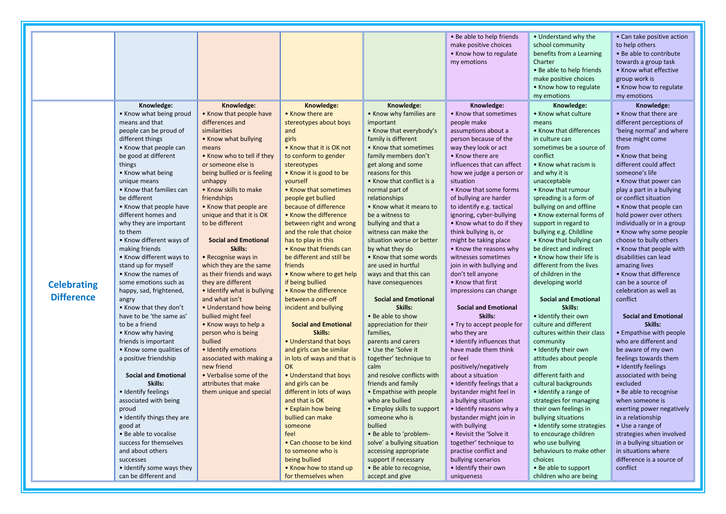|                    |                             |                             |                             |                             | • Be able to help friends   | • Understand why the        | • Can take positive action  |
|--------------------|-----------------------------|-----------------------------|-----------------------------|-----------------------------|-----------------------------|-----------------------------|-----------------------------|
|                    |                             |                             |                             |                             | make positive choices       | school community            | to help others              |
|                    |                             |                             |                             |                             | • Know how to regulate      | benefits from a Learning    | • Be able to contribute     |
|                    |                             |                             |                             |                             | my emotions                 | Charter                     | towards a group task        |
|                    |                             |                             |                             |                             |                             | • Be able to help friends   | • Know what effective       |
|                    |                             |                             |                             |                             |                             | make positive choices       | group work is               |
|                    |                             |                             |                             |                             |                             | • Know how to regulate      | • Know how to regulate      |
|                    |                             |                             |                             |                             |                             | my emotions                 | my emotions                 |
|                    | Knowledge:                  | Knowledge:                  | Knowledge:                  | Knowledge:                  | Knowledge:                  | Knowledge:                  | Knowledge:                  |
|                    | • Know what being proud     | • Know that people have     | • Know there are            | • Know why families are     | • Know that sometimes       | • Know what culture         | • Know that there are       |
|                    | means and that              | differences and             | stereotypes about boys      | important                   | people make                 | means                       | different perceptions of    |
|                    | people can be proud of      | similarities                | and                         | • Know that everybody's     | assumptions about a         | • Know that differences     | 'being normal' and where    |
|                    | different things            | • Know what bullying        | girls                       | family is different         | person because of the       | in culture can              | these might come            |
|                    | • Know that people can      | means                       | • Know that it is OK not    | • Know that sometimes       | way they look or act        | sometimes be a source of    | from                        |
|                    | be good at different        | • Know who to tell if they  | to conform to gender        | family members don't        | • Know there are            | conflict                    | • Know that being           |
|                    | things                      | or someone else is          | stereotypes                 | get along and some          | influences that can affect  | • Know what racism is       | different could affect      |
|                    | • Know what being           | being bullied or is feeling | • Know it is good to be     | reasons for this            | how we judge a person or    | and why it is               | someone's life              |
|                    | unique means                | unhappy                     | yourself                    | • Know that conflict is a   | situation                   | unacceptable                | • Know that power can       |
|                    | • Know that families can    | • Know skills to make       | • Know that sometimes       | normal part of              | • Know that some forms      | • Know that rumour          | play a part in a bullying   |
|                    | be different                |                             |                             |                             |                             |                             |                             |
|                    |                             | friendships                 | people get bullied          | relationships               | of bullying are harder      | spreading is a form of      | or conflict situation       |
|                    | • Know that people have     | • Know that people are      | because of difference       | • Know what it means to     | to identify e.g. tactical   | bullying on and offline     | • Know that people can      |
|                    | different homes and         | unique and that it is OK    | • Know the difference       | be a witness to             | ignoring, cyber-bullying    | • Know external forms of    | hold power over others      |
|                    | why they are important      | to be different             | between right and wrong     | bullying and that a         | . Know what to do if they   | support in regard to        | individually or in a group  |
|                    | to them                     |                             | and the role that choice    | witness can make the        | think bullying is, or       | bullying e.g. Childline     | • Know why some people      |
|                    | • Know different ways of    | <b>Social and Emotional</b> | has to play in this         | situation worse or better   | might be taking place       | • Know that bullying can    | choose to bully others      |
|                    | making friends              | Skills:                     | • Know that friends can     | by what they do             | • Know the reasons why      | be direct and indirect      | • Know that people with     |
|                    | • Know different ways to    | • Recognise ways in         | be different and still be   | • Know that some words      | witnesses sometimes         | • Know how their life is    | disabilities can lead       |
|                    | stand up for myself         | which they are the same     | friends                     | are used in hurtful         | join in with bullying and   | different from the lives    | amazing lives               |
|                    | • Know the names of         | as their friends and ways   | • Know where to get help    | ways and that this can      | don't tell anyone           | of children in the          | • Know that difference      |
| <b>Celebrating</b> | some emotions such as       | they are different          | if being bullied            | have consequences           | • Know that first           | developing world            | can be a source of          |
| <b>Difference</b>  | happy, sad, frightened,     | • Identify what is bullying | • Know the difference       |                             | impressions can change      |                             | celebration as well as      |
|                    | angry                       | and what isn't              | between a one-off           | <b>Social and Emotional</b> |                             | <b>Social and Emotional</b> | conflict                    |
|                    | • Know that they don't      | • Understand how being      | incident and bullying       | Skills:                     | <b>Social and Emotional</b> | Skills:                     |                             |
|                    | have to be 'the same as'    | bullied might feel          |                             | • Be able to show           | Skills:                     | • Identify their own        | <b>Social and Emotional</b> |
|                    | to be a friend              | • Know ways to help a       | <b>Social and Emotional</b> | appreciation for their      | • Try to accept people for  | culture and different       | Skills:                     |
|                    | • Know why having           | person who is being         | Skills:                     | families,                   | who they are                | cultures within their class | • Empathise with people     |
|                    | friends is important        | bullied                     | • Understand that boys      | parents and carers          | • Identify influences that  | community                   | who are different and       |
|                    | • Know some qualities of    | • Identify emotions         | and girls can be similar    | • Use the 'Solve it         | have made them think        | • Identify their own        | be aware of my own          |
|                    | a positive friendship       | associated with making a    | in lots of ways and that is | together' technique to      | or feel                     | attitudes about people      | feelings towards them       |
|                    |                             | new friend                  | <b>OK</b>                   | calm                        | positively/negatively       | from                        | • Identify feelings         |
|                    | <b>Social and Emotional</b> | • Verbalise some of the     | • Understand that boys      | and resolve conflicts with  | about a situation           | different faith and         | associated with being       |
|                    | Skills:                     | attributes that make        | and girls can be            | friends and family          | · Identify feelings that a  | cultural backgrounds        | excluded                    |
|                    | · Identify feelings         | them unique and special     | different in lots of ways   | • Empathise with people     | bystander might feel in     | • Identify a range of       | • Be able to recognise      |
|                    | associated with being       |                             | and that is OK              | who are bullied             | a bullying situation        | strategies for managing     | when someone is             |
|                    | proud                       |                             | • Explain how being         | • Employ skills to support  | • Identify reasons why a    | their own feelings in       | exerting power negatively   |
|                    | • Identify things they are  |                             | bullied can make            | someone who is              | bystander might join in     | bullying situations         | in a relationship           |
|                    | good at                     |                             | someone                     | bullied                     | with bullying               | · Identify some strategies  | • Use a range of            |
|                    | • Be able to vocalise       |                             | feel                        | • Be able to 'problem-      | • Revisit the 'Solve it     | to encourage children       | strategies when involved    |
|                    | success for themselves      |                             | • Can choose to be kind     | solve' a bullying situation | together' technique to      | who use bullying            | in a bullying situation or  |
|                    | and about others            |                             | to someone who is           | accessing appropriate       | practise conflict and       | behaviours to make other    | in situations where         |
|                    | successes                   |                             | being bullied               | support if necessary        | bullying scenarios          | choices                     | difference is a source of   |
|                    | • Identify some ways they   |                             | • Know how to stand up      | · Be able to recognise,     | · Identify their own        | • Be able to support        | conflict                    |
|                    | can be different and        |                             | for themselves when         | accept and give             | uniqueness                  | children who are being      |                             |
|                    |                             |                             |                             |                             |                             |                             |                             |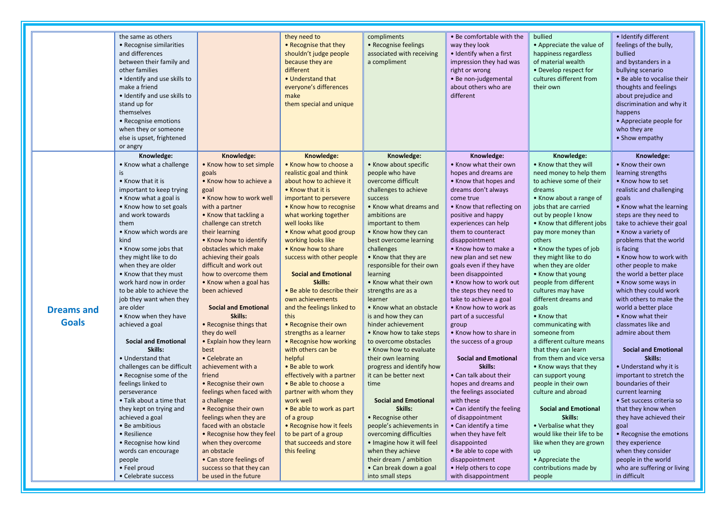|                   | the same as others<br>• Recognise similarities<br>and differences<br>between their family and<br>other families<br>• Identify and use skills to<br>make a friend<br>• Identify and use skills to<br>stand up for<br>themselves<br>• Recognise emotions<br>when they or someone<br>else is upset, frightened<br>or angry |                                                 | they need to<br>• Recognise that they<br>shouldn't judge people<br>because they are<br>different<br>• Understand that<br>everyone's differences<br>make<br>them special and unique | compliments<br>• Recognise feelings<br>associated with receiving<br>a compliment | • Be comfortable with the<br>way they look<br>• Identify when a first<br>impression they had was<br>right or wrong<br>• Be non-judgemental<br>about others who are<br>different | bullied<br>• Appreciate the value of<br>happiness regardless<br>of material wealth<br>• Develop respect for<br>cultures different from<br>their own | · Identify different<br>feelings of the bully,<br>bullied<br>and bystanders in a<br>bullying scenario<br>• Be able to vocalise their<br>thoughts and feelings<br>about prejudice and<br>discrimination and why it<br>happens<br>• Appreciate people for<br>who they are<br>• Show empathy |
|-------------------|-------------------------------------------------------------------------------------------------------------------------------------------------------------------------------------------------------------------------------------------------------------------------------------------------------------------------|-------------------------------------------------|------------------------------------------------------------------------------------------------------------------------------------------------------------------------------------|----------------------------------------------------------------------------------|---------------------------------------------------------------------------------------------------------------------------------------------------------------------------------|-----------------------------------------------------------------------------------------------------------------------------------------------------|-------------------------------------------------------------------------------------------------------------------------------------------------------------------------------------------------------------------------------------------------------------------------------------------|
|                   | Knowledge:<br>• Know what a challenge                                                                                                                                                                                                                                                                                   | Knowledge:<br>• Know how to set simple          | Knowledge:<br>. Know how to choose a                                                                                                                                               | Knowledge:<br>• Know about specific                                              | Knowledge:<br>• Know what their own                                                                                                                                             | Knowledge:<br>• Know that they will                                                                                                                 | Knowledge:<br>• Know their own                                                                                                                                                                                                                                                            |
|                   | is                                                                                                                                                                                                                                                                                                                      | goals                                           | realistic goal and think                                                                                                                                                           | people who have                                                                  | hopes and dreams are                                                                                                                                                            | need money to help them                                                                                                                             | learning strengths                                                                                                                                                                                                                                                                        |
|                   | • Know that it is                                                                                                                                                                                                                                                                                                       | • Know how to achieve a                         | about how to achieve it                                                                                                                                                            | overcome difficult                                                               | • Know that hopes and                                                                                                                                                           | to achieve some of their                                                                                                                            | • Know how to set                                                                                                                                                                                                                                                                         |
|                   | important to keep trying                                                                                                                                                                                                                                                                                                | goal                                            | • Know that it is                                                                                                                                                                  | challenges to achieve                                                            | dreams don't always                                                                                                                                                             | dreams                                                                                                                                              | realistic and challenging                                                                                                                                                                                                                                                                 |
|                   | • Know what a goal is                                                                                                                                                                                                                                                                                                   | • Know how to work well                         | important to persevere                                                                                                                                                             | success                                                                          | come true                                                                                                                                                                       | • Know about a range of                                                                                                                             | goals                                                                                                                                                                                                                                                                                     |
|                   | • Know how to set goals                                                                                                                                                                                                                                                                                                 | with a partner                                  | • Know how to recognise                                                                                                                                                            | • Know what dreams and                                                           | • Know that reflecting on                                                                                                                                                       | jobs that are carried                                                                                                                               | • Know what the learning                                                                                                                                                                                                                                                                  |
|                   | and work towards                                                                                                                                                                                                                                                                                                        | • Know that tackling a                          | what working together                                                                                                                                                              | ambitions are                                                                    | positive and happy                                                                                                                                                              | out by people I know                                                                                                                                | steps are they need to                                                                                                                                                                                                                                                                    |
|                   | them                                                                                                                                                                                                                                                                                                                    | challenge can stretch                           | well looks like                                                                                                                                                                    | important to them                                                                | experiences can help                                                                                                                                                            | • Know that different jobs                                                                                                                          | take to achieve their goal                                                                                                                                                                                                                                                                |
|                   | • Know which words are                                                                                                                                                                                                                                                                                                  | their learning                                  | • Know what good group                                                                                                                                                             | • Know how they can                                                              | them to counteract                                                                                                                                                              | pay more money than                                                                                                                                 | • Know a variety of                                                                                                                                                                                                                                                                       |
|                   | kind                                                                                                                                                                                                                                                                                                                    | • Know how to identify                          | working looks like                                                                                                                                                                 | best overcome learning                                                           | disappointment                                                                                                                                                                  | others                                                                                                                                              | problems that the world                                                                                                                                                                                                                                                                   |
|                   | • Know some jobs that<br>they might like to do                                                                                                                                                                                                                                                                          | obstacles which make                            | • Know how to share                                                                                                                                                                | challenges                                                                       | • Know how to make a                                                                                                                                                            | • Know the types of job                                                                                                                             | is facing<br>. Know how to work with                                                                                                                                                                                                                                                      |
|                   | when they are older                                                                                                                                                                                                                                                                                                     | achieving their goals<br>difficult and work out | success with other people                                                                                                                                                          | • Know that they are<br>responsible for their own                                | new plan and set new<br>goals even if they have                                                                                                                                 | they might like to do<br>when they are older                                                                                                        | other people to make                                                                                                                                                                                                                                                                      |
|                   | • Know that they must                                                                                                                                                                                                                                                                                                   | how to overcome them                            | <b>Social and Emotional</b>                                                                                                                                                        | learning                                                                         | been disappointed                                                                                                                                                               | • Know that young                                                                                                                                   | the world a better place                                                                                                                                                                                                                                                                  |
|                   | work hard now in order                                                                                                                                                                                                                                                                                                  | • Know when a goal has                          | Skills:                                                                                                                                                                            | • Know what their own                                                            | • Know how to work out                                                                                                                                                          | people from different                                                                                                                               | • Know some ways in                                                                                                                                                                                                                                                                       |
|                   | to be able to achieve the                                                                                                                                                                                                                                                                                               | been achieved                                   | • Be able to describe their                                                                                                                                                        | strengths are as a                                                               | the steps they need to                                                                                                                                                          | cultures may have                                                                                                                                   | which they could work                                                                                                                                                                                                                                                                     |
|                   | job they want when they                                                                                                                                                                                                                                                                                                 |                                                 | own achievements                                                                                                                                                                   | learner                                                                          | take to achieve a goal                                                                                                                                                          | different dreams and                                                                                                                                | with others to make the                                                                                                                                                                                                                                                                   |
| <b>Dreams and</b> | are older                                                                                                                                                                                                                                                                                                               | <b>Social and Emotional</b>                     | and the feelings linked to                                                                                                                                                         | • Know what an obstacle                                                          | • Know how to work as                                                                                                                                                           | goals                                                                                                                                               | world a better place                                                                                                                                                                                                                                                                      |
|                   | • Know when they have                                                                                                                                                                                                                                                                                                   | Skills:                                         | this                                                                                                                                                                               | is and how they can                                                              | part of a successful                                                                                                                                                            | • Know that                                                                                                                                         | • Know what their                                                                                                                                                                                                                                                                         |
| <b>Goals</b>      | achieved a goal                                                                                                                                                                                                                                                                                                         | • Recognise things that                         | • Recognise their own                                                                                                                                                              | hinder achievement                                                               | group                                                                                                                                                                           | communicating with                                                                                                                                  | classmates like and                                                                                                                                                                                                                                                                       |
|                   |                                                                                                                                                                                                                                                                                                                         | they do well                                    | strengths as a learner                                                                                                                                                             | . Know how to take steps                                                         | • Know how to share in                                                                                                                                                          | someone from                                                                                                                                        | admire about them                                                                                                                                                                                                                                                                         |
|                   | <b>Social and Emotional</b>                                                                                                                                                                                                                                                                                             | • Explain how they learn                        | • Recognise how working                                                                                                                                                            | to overcome obstacles                                                            | the success of a group                                                                                                                                                          | a different culture means                                                                                                                           |                                                                                                                                                                                                                                                                                           |
|                   | Skills:                                                                                                                                                                                                                                                                                                                 | best                                            | with others can be                                                                                                                                                                 | • Know how to evaluate                                                           |                                                                                                                                                                                 | that they can learn                                                                                                                                 | <b>Social and Emotional</b>                                                                                                                                                                                                                                                               |
|                   | • Understand that<br>challenges can be difficult                                                                                                                                                                                                                                                                        | • Celebrate an<br>achievement with a            | helpful<br>• Be able to work                                                                                                                                                       | their own learning<br>progress and identify how                                  | <b>Social and Emotional</b><br>Skills:                                                                                                                                          | from them and vice versa<br>• Know ways that they                                                                                                   | Skills:<br>• Understand why it is                                                                                                                                                                                                                                                         |
|                   | • Recognise some of the                                                                                                                                                                                                                                                                                                 | friend                                          | effectively with a partner                                                                                                                                                         | it can be better next                                                            | • Can talk about their                                                                                                                                                          | can support young                                                                                                                                   | important to stretch the                                                                                                                                                                                                                                                                  |
|                   | feelings linked to                                                                                                                                                                                                                                                                                                      | • Recognise their own                           | • Be able to choose a                                                                                                                                                              | time                                                                             | hopes and dreams and                                                                                                                                                            | people in their own                                                                                                                                 | boundaries of their                                                                                                                                                                                                                                                                       |
|                   | perseverance                                                                                                                                                                                                                                                                                                            | feelings when faced with                        | partner with whom they                                                                                                                                                             |                                                                                  | the feelings associated                                                                                                                                                         | culture and abroad                                                                                                                                  | current learning                                                                                                                                                                                                                                                                          |
|                   | • Talk about a time that                                                                                                                                                                                                                                                                                                | a challenge                                     | work well                                                                                                                                                                          | <b>Social and Emotional</b>                                                      | with these                                                                                                                                                                      |                                                                                                                                                     | • Set success criteria so                                                                                                                                                                                                                                                                 |
|                   | they kept on trying and                                                                                                                                                                                                                                                                                                 | • Recognise their own                           | • Be able to work as part                                                                                                                                                          | Skills:                                                                          | • Can identify the feeling                                                                                                                                                      | <b>Social and Emotional</b>                                                                                                                         | that they know when                                                                                                                                                                                                                                                                       |
|                   | achieved a goal                                                                                                                                                                                                                                                                                                         | feelings when they are                          | of a group                                                                                                                                                                         | • Recognise other                                                                | of disappointment                                                                                                                                                               | Skills:                                                                                                                                             | they have achieved their                                                                                                                                                                                                                                                                  |
|                   | • Be ambitious                                                                                                                                                                                                                                                                                                          | faced with an obstacle                          | • Recognise how it feels                                                                                                                                                           | people's achievements in                                                         | • Can identify a time                                                                                                                                                           | • Verbalise what they                                                                                                                               | goal                                                                                                                                                                                                                                                                                      |
|                   | • Resilience                                                                                                                                                                                                                                                                                                            | • Recognise how they feel                       | to be part of a group                                                                                                                                                              | overcoming difficulties                                                          | when they have felt                                                                                                                                                             | would like their life to be                                                                                                                         | • Recognise the emotions                                                                                                                                                                                                                                                                  |
|                   | • Recognise how kind                                                                                                                                                                                                                                                                                                    | when they overcome                              | that succeeds and store                                                                                                                                                            | • Imagine how it will feel                                                       | disappointed                                                                                                                                                                    | like when they are grown                                                                                                                            | they experience                                                                                                                                                                                                                                                                           |
|                   | words can encourage                                                                                                                                                                                                                                                                                                     | an obstacle                                     | this feeling                                                                                                                                                                       | when they achieve                                                                | • Be able to cope with                                                                                                                                                          | up                                                                                                                                                  | when they consider                                                                                                                                                                                                                                                                        |
|                   | people                                                                                                                                                                                                                                                                                                                  | • Can store feelings of                         |                                                                                                                                                                                    | their dream / ambition                                                           | disappointment                                                                                                                                                                  | • Appreciate the                                                                                                                                    | people in the world                                                                                                                                                                                                                                                                       |
|                   | • Feel proud                                                                                                                                                                                                                                                                                                            | success so that they can                        |                                                                                                                                                                                    | • Can break down a goal                                                          | • Help others to cope                                                                                                                                                           | contributions made by                                                                                                                               | who are suffering or living<br>in difficult                                                                                                                                                                                                                                               |
|                   | • Celebrate success                                                                                                                                                                                                                                                                                                     | be used in the future                           |                                                                                                                                                                                    | into small steps                                                                 | with disappointment                                                                                                                                                             | people                                                                                                                                              |                                                                                                                                                                                                                                                                                           |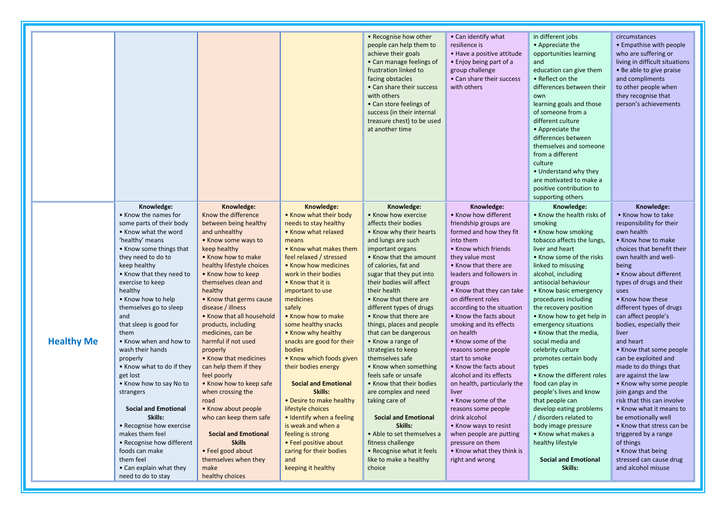| Knowledge:                                                                                                                                                                                                                                                                                                                                                                                                                                                                                                                                                                                                                                                                             |                                                                                                                                                                                                                                                                                                                                                                                                                                                                                                                                                                                                                                                                                              | Knowledge:                                                                                                                                                                                                                                                                                                                                                                                                                                                                                                                                                                                                                                                            | • Recognise how other<br>people can help them to<br>achieve their goals<br>• Can manage feelings of<br>frustration linked to<br>facing obstacles<br>• Can share their success<br>with others<br>• Can store feelings of<br>success (in their internal<br>treasure chest) to be used<br>at another time                                                                                                                                                                                                                                                                                                                                                                                                                                          | • Can identify what<br>resilience is<br>• Have a positive attitude<br>• Enjoy being part of a<br>group challenge<br>• Can share their success<br>with others                                                                                                                                                                                                                                                                                                                                                                                                                                                                                                                                                       | in different jobs<br>• Appreciate the<br>opportunities learning<br>and<br>education can give them<br>• Reflect on the<br>differences between their<br>own<br>learning goals and those<br>of someone from a<br>different culture<br>• Appreciate the<br>differences between<br>themselves and someone<br>from a different<br>culture<br>• Understand why they<br>are motivated to make a<br>positive contribution to<br>supporting others                                                                                                                                                                                                                                                                                          | circumstances<br>• Empathise with people<br>who are suffering or<br>living in difficult situations<br>• Be able to give praise<br>and compliments<br>to other people when<br>they recognise that<br>person's achievements                                                                                                                                                                                                                                                                                                                                                                                                                                                                                                          |
|----------------------------------------------------------------------------------------------------------------------------------------------------------------------------------------------------------------------------------------------------------------------------------------------------------------------------------------------------------------------------------------------------------------------------------------------------------------------------------------------------------------------------------------------------------------------------------------------------------------------------------------------------------------------------------------|----------------------------------------------------------------------------------------------------------------------------------------------------------------------------------------------------------------------------------------------------------------------------------------------------------------------------------------------------------------------------------------------------------------------------------------------------------------------------------------------------------------------------------------------------------------------------------------------------------------------------------------------------------------------------------------------|-----------------------------------------------------------------------------------------------------------------------------------------------------------------------------------------------------------------------------------------------------------------------------------------------------------------------------------------------------------------------------------------------------------------------------------------------------------------------------------------------------------------------------------------------------------------------------------------------------------------------------------------------------------------------|-------------------------------------------------------------------------------------------------------------------------------------------------------------------------------------------------------------------------------------------------------------------------------------------------------------------------------------------------------------------------------------------------------------------------------------------------------------------------------------------------------------------------------------------------------------------------------------------------------------------------------------------------------------------------------------------------------------------------------------------------|--------------------------------------------------------------------------------------------------------------------------------------------------------------------------------------------------------------------------------------------------------------------------------------------------------------------------------------------------------------------------------------------------------------------------------------------------------------------------------------------------------------------------------------------------------------------------------------------------------------------------------------------------------------------------------------------------------------------|-----------------------------------------------------------------------------------------------------------------------------------------------------------------------------------------------------------------------------------------------------------------------------------------------------------------------------------------------------------------------------------------------------------------------------------------------------------------------------------------------------------------------------------------------------------------------------------------------------------------------------------------------------------------------------------------------------------------------------------|------------------------------------------------------------------------------------------------------------------------------------------------------------------------------------------------------------------------------------------------------------------------------------------------------------------------------------------------------------------------------------------------------------------------------------------------------------------------------------------------------------------------------------------------------------------------------------------------------------------------------------------------------------------------------------------------------------------------------------|
| • Know the names for<br>some parts of their body<br>• Know what the word<br>'healthy' means<br>• Know some things that<br>they need to do to<br>keep healthy<br>• Know that they need to<br>exercise to keep<br>healthy<br>• Know how to help<br>themselves go to sleep<br>and<br>that sleep is good for<br>them<br><b>Healthy Me</b><br>• Know when and how to<br>wash their hands<br>properly<br>• Know what to do if they<br>get lost<br>. Know how to say No to<br>strangers<br><b>Social and Emotional</b><br>Skills:<br>• Recognise how exercise<br>makes them feel<br>• Recognise how different<br>foods can make<br>them feel<br>• Can explain what they<br>need to do to stay | Knowledge:<br>Know the difference<br>between being healthy<br>and unhealthy<br>• Know some ways to<br>keep healthy<br>. Know how to make<br>healthy lifestyle choices<br>• Know how to keep<br>themselves clean and<br>healthy<br>• Know that germs cause<br>disease / illness<br>• Know that all household<br>products, including<br>medicines, can be<br>harmful if not used<br>properly<br>• Know that medicines<br>can help them if they<br>feel poorly<br>• Know how to keep safe<br>when crossing the<br>road<br>• Know about people<br>who can keep them safe<br><b>Social and Emotional</b><br><b>Skills</b><br>• Feel good about<br>themselves when they<br>make<br>healthy choices | • Know what their body<br>needs to stay healthy<br>• Know what relaxed<br>means<br>• Know what makes them<br>feel relaxed / stressed<br>• Know how medicines<br>work in their bodies<br>• Know that it is<br>important to use<br>medicines<br>safely<br>• Know how to make<br>some healthy snacks<br>• Know why healthy<br>snacks are good for their<br>bodies<br>• Know which foods given<br>their bodies energy<br><b>Social and Emotional</b><br>Skills:<br>• Desire to make healthy<br>lifestyle choices<br>• Identify when a feeling<br>is weak and when a<br>feeling is strong<br>• Feel positive about<br>caring for their bodies<br>and<br>keeping it healthy | Knowledge:<br>• Know how exercise<br>affects their bodies<br>• Know why their hearts<br>and lungs are such<br>important organs<br>• Know that the amount<br>of calories, fat and<br>sugar that they put into<br>their bodies will affect<br>their health<br>• Know that there are<br>different types of drugs<br>• Know that there are<br>things, places and people<br>that can be dangerous<br>• Know a range of<br>strategies to keep<br>themselves safe<br>• Know when something<br>feels safe or unsafe<br>• Know that their bodies<br>are complex and need<br>taking care of<br><b>Social and Emotional</b><br>Skills:<br>• Able to set themselves a<br>fitness challenge<br>• Recognise what it feels<br>like to make a healthy<br>choice | Knowledge:<br>• Know how different<br>friendship groups are<br>formed and how they fit<br>into them<br>• Know which friends<br>they value most<br>• Know that there are<br>leaders and followers in<br>groups<br>• Know that they can take<br>on different roles<br>according to the situation<br>• Know the facts about<br>smoking and its effects<br>on health<br>• Know some of the<br>reasons some people<br>start to smoke<br>• Know the facts about<br>alcohol and its effects<br>on health, particularly the<br>liver<br>• Know some of the<br>reasons some people<br>drink alcohol<br>• Know ways to resist<br>when people are putting<br>pressure on them<br>• Know what they think is<br>right and wrong | Knowledge:<br>• Know the health risks of<br>smoking<br>• Know how smoking<br>tobacco affects the lungs,<br>liver and heart<br>• Know some of the risks<br>linked to misusing<br>alcohol, including<br>antisocial behaviour<br>• Know basic emergency<br>procedures including<br>the recovery position<br>• Know how to get help in<br>emergency situations<br>• Know that the media,<br>social media and<br>celebrity culture<br>promotes certain body<br>types<br>• Know the different roles<br>food can play in<br>people's lives and know<br>that people can<br>develop eating problems<br>/ disorders related to<br>body image pressure<br>• Know what makes a<br>healthy lifestyle<br><b>Social and Emotional</b><br>Skills: | Knowledge:<br>• Know how to take<br>responsibility for their<br>own health<br>• Know how to make<br>choices that benefit their<br>own health and well-<br>being<br>• Know about different<br>types of drugs and their<br>uses<br>• Know how these<br>different types of drugs<br>can affect people's<br>bodies, especially their<br>liver<br>and heart<br>• Know that some people<br>can be exploited and<br>made to do things that<br>are against the law<br>• Know why some people<br>join gangs and the<br>risk that this can involve<br>• Know what it means to<br>be emotionally well<br>• Know that stress can be<br>triggered by a range<br>of things<br>. Know that being<br>stressed can cause drug<br>and alcohol misuse |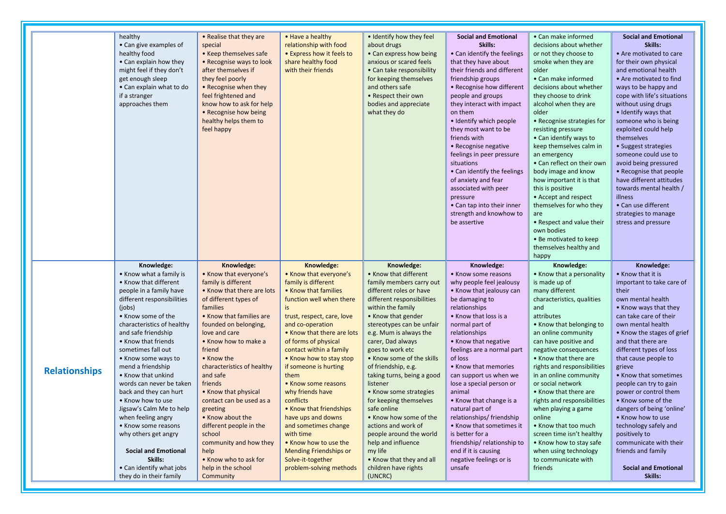|                      | healthy<br>• Can give examples of<br>healthy food<br>• Can explain how they<br>might feel if they don't<br>get enough sleep<br>• Can explain what to do<br>if a stranger<br>approaches them                                                                                                                                                                                                                                                                                                                                                                                                | • Realise that they are<br>special<br>• Keep themselves safe<br>• Recognise ways to look<br>after themselves if<br>they feel poorly<br>• Recognise when they<br>feel frightened and<br>know how to ask for help<br>• Recognise how being<br>healthy helps them to<br>feel happy                                                                                                                                                                                                                                    | • Have a healthy<br>relationship with food<br>• Express how it feels to<br>share healthy food<br>with their friends                                                                                                                                                                                                                                                                                                                                                                                                                                            | • Identify how they feel<br>about drugs<br>• Can express how being<br>anxious or scared feels<br>• Can take responsibility<br>for keeping themselves<br>and others safe<br>• Respect their own<br>bodies and appreciate<br>what they do                                                                                                                                                                                                                                                                                                                                                            | <b>Social and Emotional</b><br>Skills:<br>• Can identify the feelings<br>that they have about<br>their friends and different<br>friendship groups<br>• Recognise how different<br>people and groups<br>they interact with impact<br>on them<br>• Identify which people<br>they most want to be<br>friends with<br>• Recognise negative<br>feelings in peer pressure<br>situations<br>• Can identify the feelings                                                                                                                                         | • Can make informed<br>decisions about whether<br>or not they choose to<br>smoke when they are<br>older<br>• Can make informed<br>decisions about whether<br>they choose to drink<br>alcohol when they are<br>older<br>• Recognise strategies for<br>resisting pressure<br>• Can identify ways to<br>keep themselves calm in<br>an emergency<br>• Can reflect on their own<br>body image and know                                                                                                                                                               | <b>Social and Emotional</b><br>Skills:<br>• Are motivated to care<br>for their own physical<br>and emotional health<br>• Are motivated to find<br>ways to be happy and<br>cope with life's situations<br>without using drugs<br>• Identify ways that<br>someone who is being<br>exploited could help<br>themselves<br>• Suggest strategies<br>someone could use to<br>avoid being pressured<br>• Recognise that people                                                                                                                                        |
|----------------------|--------------------------------------------------------------------------------------------------------------------------------------------------------------------------------------------------------------------------------------------------------------------------------------------------------------------------------------------------------------------------------------------------------------------------------------------------------------------------------------------------------------------------------------------------------------------------------------------|--------------------------------------------------------------------------------------------------------------------------------------------------------------------------------------------------------------------------------------------------------------------------------------------------------------------------------------------------------------------------------------------------------------------------------------------------------------------------------------------------------------------|----------------------------------------------------------------------------------------------------------------------------------------------------------------------------------------------------------------------------------------------------------------------------------------------------------------------------------------------------------------------------------------------------------------------------------------------------------------------------------------------------------------------------------------------------------------|----------------------------------------------------------------------------------------------------------------------------------------------------------------------------------------------------------------------------------------------------------------------------------------------------------------------------------------------------------------------------------------------------------------------------------------------------------------------------------------------------------------------------------------------------------------------------------------------------|----------------------------------------------------------------------------------------------------------------------------------------------------------------------------------------------------------------------------------------------------------------------------------------------------------------------------------------------------------------------------------------------------------------------------------------------------------------------------------------------------------------------------------------------------------|-----------------------------------------------------------------------------------------------------------------------------------------------------------------------------------------------------------------------------------------------------------------------------------------------------------------------------------------------------------------------------------------------------------------------------------------------------------------------------------------------------------------------------------------------------------------|---------------------------------------------------------------------------------------------------------------------------------------------------------------------------------------------------------------------------------------------------------------------------------------------------------------------------------------------------------------------------------------------------------------------------------------------------------------------------------------------------------------------------------------------------------------|
|                      | Knowledge:                                                                                                                                                                                                                                                                                                                                                                                                                                                                                                                                                                                 | Knowledge:                                                                                                                                                                                                                                                                                                                                                                                                                                                                                                         | Knowledge:                                                                                                                                                                                                                                                                                                                                                                                                                                                                                                                                                     | Knowledge:                                                                                                                                                                                                                                                                                                                                                                                                                                                                                                                                                                                         | of anxiety and fear<br>associated with peer<br>pressure<br>• Can tap into their inner<br>strength and knowhow to<br>be assertive<br>Knowledge:                                                                                                                                                                                                                                                                                                                                                                                                           | how important it is that<br>this is positive<br>• Accept and respect<br>themselves for who they<br>are<br>• Respect and value their<br>own bodies<br>• Be motivated to keep<br>themselves healthy and<br>happy<br>Knowledge:                                                                                                                                                                                                                                                                                                                                    | have different attitudes<br>towards mental health /<br>illness<br>• Can use different<br>strategies to manage<br>stress and pressure<br>Knowledge:                                                                                                                                                                                                                                                                                                                                                                                                            |
| <b>Relationships</b> | • Know what a family is<br>• Know that different<br>people in a family have<br>different responsibilities<br>(iobs)<br>• Know some of the<br>characteristics of healthy<br>and safe friendship<br>• Know that friends<br>sometimes fall out<br>• Know some ways to<br>mend a friendship<br>• Know that unkind<br>words can never be taken<br>back and they can hurt<br>• Know how to use<br>Jigsaw's Calm Me to help<br>when feeling angry<br>• Know some reasons<br>why others get angry<br><b>Social and Emotional</b><br>Skills:<br>• Can identify what jobs<br>they do in their family | • Know that everyone's<br>family is different<br>• Know that there are lots<br>of different types of<br>families<br>• Know that families are<br>founded on belonging,<br>love and care<br>• Know how to make a<br>friend<br>• Know the<br>characteristics of healthy<br>and safe<br>friends<br>• Know that physical<br>contact can be used as a<br>greeting<br>• Know about the<br>different people in the<br>school<br>community and how they<br>help<br>• Know who to ask for<br>help in the school<br>Community | • Know that everyone's<br>family is different<br>• Know that families<br>function well when there<br>is<br>trust, respect, care, love<br>and co-operation<br>. Know that there are lots<br>of forms of physical<br>contact within a family<br>• Know how to stay stop<br>if someone is hurting<br>them<br>• Know some reasons<br>why friends have<br>conflicts<br>• Know that friendships<br>have ups and downs<br>and sometimes change<br>with time<br>• Know how to use the<br><b>Mending Friendships or</b><br>Solve-it-together<br>problem-solving methods | • Know that different<br>family members carry out<br>different roles or have<br>different responsibilities<br>within the family<br>• Know that gender<br>stereotypes can be unfair<br>e.g. Mum is always the<br>carer, Dad always<br>goes to work etc<br>• Know some of the skills<br>of friendship, e.g.<br>taking turns, being a good<br>listener<br>• Know some strategies<br>for keeping themselves<br>safe online<br>• Know how some of the<br>actions and work of<br>people around the world<br>help and influence<br>my life<br>• Know that they and all<br>children have rights<br>(UNCRC) | • Know some reasons<br>why people feel jealousy<br>• Know that jealousy can<br>be damaging to<br>relationships<br>• Know that loss is a<br>normal part of<br>relationships<br>• Know that negative<br>feelings are a normal part<br>of loss<br>• Know that memories<br>can support us when we<br>lose a special person or<br>animal<br>• Know that change is a<br>natural part of<br>relationships/ friendship<br>• Know that sometimes it<br>is better for a<br>friendship/relationship to<br>end if it is causing<br>negative feelings or is<br>unsafe | • Know that a personality<br>is made up of<br>many different<br>characteristics, qualities<br>and<br>attributes<br>• Know that belonging to<br>an online community<br>can have positive and<br>negative consequences<br>• Know that there are<br>rights and responsibilities<br>in an online community<br>or social network<br>• Know that there are<br>rights and responsibilities<br>when playing a game<br>online<br>• Know that too much<br>screen time isn't healthy<br>• Know how to stay safe<br>when using technology<br>to communicate with<br>friends | • Know that it is<br>important to take care of<br>their<br>own mental health<br>• Know ways that they<br>can take care of their<br>own mental health<br>• Know the stages of grief<br>and that there are<br>different types of loss<br>that cause people to<br>grieve<br>• Know that sometimes<br>people can try to gain<br>power or control them<br>• Know some of the<br>dangers of being 'online'<br>• Know how to use<br>technology safely and<br>positively to<br>communicate with their<br>friends and family<br><b>Social and Emotional</b><br>Skills: |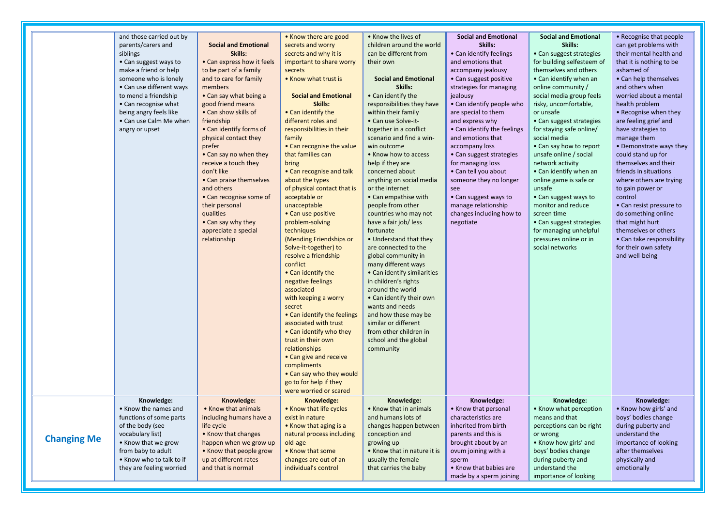|                    | and those carried out by                         |                                       | • Know there are good                         | • Know the lives of                            | <b>Social and Emotional</b>                    | <b>Social and Emotional</b>                          | • Recognise that people                     |
|--------------------|--------------------------------------------------|---------------------------------------|-----------------------------------------------|------------------------------------------------|------------------------------------------------|------------------------------------------------------|---------------------------------------------|
|                    | parents/carers and                               | <b>Social and Emotional</b>           | secrets and worry                             | children around the world                      | Skills:                                        | Skills:                                              | can get problems with                       |
|                    | siblings                                         | Skills:                               | secrets and why it is                         | can be different from                          | • Can identify feelings                        | • Can suggest strategies                             | their mental health and                     |
|                    | • Can suggest ways to                            | • Can express how it feels            | important to share worry                      | their own                                      | and emotions that                              | for building selfesteem of                           | that it is nothing to be                    |
|                    | make a friend or help                            | to be part of a family                | secrets                                       |                                                | accompany jealousy                             | themselves and others                                | ashamed of                                  |
|                    | someone who is lonely                            | and to care for family                | • Know what trust is                          | <b>Social and Emotional</b>                    | • Can suggest positive                         | • Can identify when an                               | • Can help themselves                       |
|                    | • Can use different ways                         | members                               |                                               | Skills:                                        | strategies for managing                        | online community /                                   | and others when                             |
|                    | to mend a friendship                             | • Can say what being a                | <b>Social and Emotional</b>                   | • Can identify the                             | jealousy                                       | social media group feels                             | worried about a mental                      |
|                    | • Can recognise what                             | good friend means                     | Skills:                                       | responsibilities they have                     | • Can identify people who                      | risky, uncomfortable,                                | health problem                              |
|                    | being angry feels like<br>• Can use Calm Me when | • Can show skills of                  | • Can identify the<br>different roles and     | within their family<br>• Can use Solve-it-     | are special to them                            | or unsafe                                            | • Recognise when they                       |
|                    |                                                  | friendship<br>• Can identify forms of | responsibilities in their                     | together in a conflict                         | and express why<br>• Can identify the feelings | • Can suggest strategies<br>for staying safe online/ | are feeling grief and<br>have strategies to |
|                    | angry or upset                                   | physical contact they                 | family                                        | scenario and find a win-                       | and emotions that                              | social media                                         | manage them                                 |
|                    |                                                  | prefer                                | • Can recognise the value                     | win outcome                                    | accompany loss                                 | • Can say how to report                              | • Demonstrate ways they                     |
|                    |                                                  | • Can say no when they                | that families can                             | • Know how to access                           | • Can suggest strategies                       | unsafe online / social                               | could stand up for                          |
|                    |                                                  | receive a touch they                  | bring                                         | help if they are                               | for managing loss                              | network activity                                     | themselves and their                        |
|                    |                                                  | don't like                            | • Can recognise and talk                      | concerned about                                | • Can tell you about                           | • Can identify when an                               | friends in situations                       |
|                    |                                                  | • Can praise themselves               | about the types                               | anything on social media                       | someone they no longer                         | online game is safe or                               | where others are trying                     |
|                    |                                                  | and others                            | of physical contact that is                   | or the internet                                | see                                            | unsafe                                               | to gain power or                            |
|                    |                                                  | • Can recognise some of               | acceptable or                                 | • Can empathise with                           | • Can suggest ways to                          | • Can suggest ways to                                | control                                     |
|                    |                                                  | their personal                        | unacceptable                                  | people from other                              | manage relationship                            | monitor and reduce                                   | • Can resist pressure to                    |
|                    |                                                  | qualities                             | • Can use positive                            | countries who may not                          | changes including how to                       | screen time                                          | do something online                         |
|                    |                                                  | • Can say why they                    | problem-solving                               | have a fair job/ less                          | negotiate                                      | • Can suggest strategies                             | that might hurt                             |
|                    |                                                  | appreciate a special                  | techniques                                    | fortunate                                      |                                                | for managing unhelpful                               | themselves or others                        |
|                    |                                                  | relationship                          | (Mending Friendships or                       | • Understand that they                         |                                                | pressures online or in                               | • Can take responsibility                   |
|                    |                                                  |                                       | Solve-it-together) to                         | are connected to the                           |                                                | social networks                                      | for their own safety                        |
|                    |                                                  |                                       | resolve a friendship                          | global community in                            |                                                |                                                      | and well-being                              |
|                    |                                                  |                                       | conflict                                      | many different ways                            |                                                |                                                      |                                             |
|                    |                                                  |                                       | • Can identify the                            | • Can identify similarities                    |                                                |                                                      |                                             |
|                    |                                                  |                                       | negative feelings                             | in children's rights                           |                                                |                                                      |                                             |
|                    |                                                  |                                       | associated                                    | around the world                               |                                                |                                                      |                                             |
|                    |                                                  |                                       | with keeping a worry                          | • Can identify their own                       |                                                |                                                      |                                             |
|                    |                                                  |                                       | secret                                        | wants and needs                                |                                                |                                                      |                                             |
|                    |                                                  |                                       | • Can identify the feelings                   | and how these may be                           |                                                |                                                      |                                             |
|                    |                                                  |                                       | associated with trust                         | similar or different<br>from other children in |                                                |                                                      |                                             |
|                    |                                                  |                                       | • Can identify who they<br>trust in their own | school and the global                          |                                                |                                                      |                                             |
|                    |                                                  |                                       | relationships                                 | community                                      |                                                |                                                      |                                             |
|                    |                                                  |                                       | • Can give and receive                        |                                                |                                                |                                                      |                                             |
|                    |                                                  |                                       | compliments                                   |                                                |                                                |                                                      |                                             |
|                    |                                                  |                                       | • Can say who they would                      |                                                |                                                |                                                      |                                             |
|                    |                                                  |                                       | go to for help if they                        |                                                |                                                |                                                      |                                             |
|                    |                                                  |                                       | were worried or scared                        |                                                |                                                |                                                      |                                             |
|                    | Knowledge:                                       | Knowledge:                            | Knowledge:                                    | Knowledge:                                     | Knowledge:                                     | Knowledge:                                           | Knowledge:                                  |
|                    | • Know the names and                             | • Know that animals                   | • Know that life cycles                       | • Know that in animals                         | • Know that personal                           | • Know what perception                               | • Know how girls' and                       |
|                    | functions of some parts                          | including humans have a               | exist in nature                               | and humans lots of                             | characteristics are                            | means and that                                       | boys' bodies change                         |
|                    | of the body (see                                 | life cycle                            | • Know that aging is a                        | changes happen between                         | inherited from birth                           | perceptions can be right                             | during puberty and                          |
| <b>Changing Me</b> | vocabulary list)                                 | • Know that changes                   | natural process including                     | conception and                                 | parents and this is                            | or wrong                                             | understand the                              |
|                    | • Know that we grow                              | happen when we grow up                | old-age                                       | growing up                                     | brought about by an                            | • Know how girls' and                                | importance of looking                       |
|                    | from baby to adult                               | • Know that people grow               | • Know that some                              | • Know that in nature it is                    | ovum joining with a                            | boys' bodies change                                  | after themselves                            |
|                    | • Know who to talk to if                         | up at different rates                 | changes are out of an                         | usually the female                             | sperm                                          | during puberty and                                   | physically and                              |
|                    | they are feeling worried                         | and that is normal                    | individual's control                          | that carries the baby                          | • Know that babies are                         | understand the                                       | emotionally                                 |
|                    |                                                  |                                       |                                               |                                                | made by a sperm joining                        | importance of looking                                |                                             |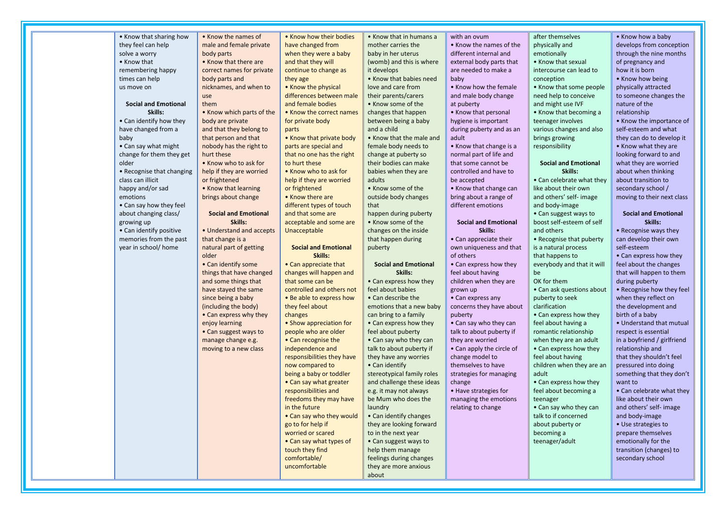| • Know that sharing how     | • Know the names of         | . Know how their bodies     | • Know that in humans a     | with an ovum                | after themselves            | • Know how a baby           |
|-----------------------------|-----------------------------|-----------------------------|-----------------------------|-----------------------------|-----------------------------|-----------------------------|
| they feel can help          | male and female private     | have changed from           | mother carries the          | • Know the names of the     | physically and              | develops from conception    |
| solve a worry               | body parts                  | when they were a baby       | baby in her uterus          | different internal and      | emotionally                 | through the nine months     |
| • Know that                 | • Know that there are       | and that they will          | (womb) and this is where    | external body parts that    | • Know that sexual          | of pregnancy and            |
| remembering happy           | correct names for private   | continue to change as       | it develops                 | are needed to make a        | intercourse can lead to     | how it is born              |
| times can help              | body parts and              | they age                    | • Know that babies need     | baby                        | conception                  | • Know how being            |
| us move on                  | nicknames, and when to      | • Know the physical         | love and care from          | • Know how the female       | • Know that some people     | physically attracted        |
|                             | use                         | differences between male    | their parents/carers        | and male body change        | need help to conceive       | to someone changes the      |
| <b>Social and Emotional</b> | them                        | and female bodies           | • Know some of the          | at puberty                  | and might use IVF           | nature of the               |
| Skills:                     | • Know which parts of the   | • Know the correct names    | changes that happen         | • Know that personal        | • Know that becoming a      | relationship                |
| • Can identify how they     | body are private            | for private body            | between being a baby        | hygiene is important        | teenager involves           | • Know the importance of    |
| have changed from a         | and that they belong to     | parts                       | and a child                 | during puberty and as an    | various changes and also    | self-esteem and what        |
| baby                        | that person and that        | • Know that private body    | • Know that the male and    | adult                       | brings growing              | they can do to develop it   |
| • Can say what might        | nobody has the right to     | parts are special and       | female body needs to        | • Know that change is a     | responsibility              | • Know what they are        |
| change for them they get    | hurt these                  | that no one has the right   | change at puberty so        | normal part of life and     |                             | looking forward to and      |
| older                       | • Know who to ask for       | to hurt these               | their bodies can make       | that some cannot be         | <b>Social and Emotional</b> | what they are worried       |
| • Recognise that changing   | help if they are worried    | • Know who to ask for       | babies when they are        | controlled and have to      | Skills:                     | about when thinking         |
| class can illicit           | or frightened               | help if they are worried    | adults                      | be accepted                 | • Can celebrate what they   | about transition to         |
| happy and/or sad            | • Know that learning        | or frightened               | • Know some of the          | • Know that change can      | like about their own        | secondary school /          |
| emotions                    | brings about change         | • Know there are            | outside body changes        | bring about a range of      | and others' self- image     | moving to their next class  |
| • Can say how they feel     |                             | different types of touch    | that                        | different emotions          | and body-image              |                             |
| about changing class/       | <b>Social and Emotional</b> | and that some are           | happen during puberty       |                             | • Can suggest ways to       | <b>Social and Emotional</b> |
| growing up                  | Skills:                     | acceptable and some are     | • Know some of the          | <b>Social and Emotional</b> | boost self-esteem of self   | Skills:                     |
| • Can identify positive     | • Understand and accepts    | Unacceptable                | changes on the inside       | Skills:                     | and others                  | • Recognise ways they       |
| memories from the past      | that change is a            |                             | that happen during          | • Can appreciate their      | • Recognise that puberty    | can develop their own       |
| year in school/ home        | natural part of getting     | <b>Social and Emotional</b> | puberty                     | own uniqueness and that     | is a natural process        | self-esteem                 |
|                             | older                       | Skills:                     |                             | of others                   | that happens to             | • Can express how they      |
|                             | • Can identify some         | • Can appreciate that       | <b>Social and Emotional</b> | • Can express how they      | everybody and that it will  | feel about the changes      |
|                             | things that have changed    | changes will happen and     | Skills:                     | feel about having           | be                          | that will happen to them    |
|                             | and some things that        | that some can be            | • Can express how they      | children when they are      | OK for them                 | during puberty              |
|                             | have stayed the same        | controlled and others not   | feel about babies           | grown up                    | • Can ask questions about   | . Recognise how they feel   |
|                             | since being a baby          | • Be able to express how    | • Can describe the          | • Can express any           | puberty to seek             | when they reflect on        |
|                             | (including the body)        | they feel about             | emotions that a new baby    | concerns they have about    | clarification               | the development and         |
|                             | • Can express why they      | changes                     | can bring to a family       | puberty                     | • Can express how they      | birth of a baby             |
|                             | enjoy learning              | • Show appreciation for     | • Can express how they      | • Can say who they can      | feel about having a         | • Understand that mutual    |
|                             | • Can suggest ways to       | people who are older        | feel about puberty          | talk to about puberty if    | romantic relationship       | respect is essential        |
|                             | manage change e.g.          | • Can recognise the         | • Can say who they can      | they are worried            | when they are an adult      | in a boyfriend / girlfriend |
|                             | moving to a new class       | independence and            | talk to about puberty if    | • Can apply the circle of   | • Can express how they      | relationship and            |
|                             |                             | responsibilities they have  | they have any worries       | change model to             | feel about having           | that they shouldn't feel    |
|                             |                             | now compared to             | • Can identify              | themselves to have          | children when they are an   | pressured into doing        |
|                             |                             | being a baby or toddler     | stereotypical family roles  | strategies for managing     | adult                       | something that they don't   |
|                             |                             | • Can say what greater      | and challenge these ideas   | change                      | • Can express how they      | want to                     |
|                             |                             | responsibilities and        | e.g. it may not always      | • Have strategies for       | feel about becoming a       | • Can celebrate what they   |
|                             |                             | freedoms they may have      | be Mum who does the         | managing the emotions       | teenager                    | like about their own        |
|                             |                             | in the future               | laundry                     | relating to change          | • Can say who they can      | and others' self- image     |
|                             |                             | • Can say who they would    | • Can identify changes      |                             | talk to if concerned        | and body-image              |
|                             |                             | go to for help if           | they are looking forward    |                             | about puberty or            | • Use strategies to         |
|                             |                             | worried or scared           | to in the next year         |                             | becoming a                  | prepare themselves          |
|                             |                             | • Can say what types of     | • Can suggest ways to       |                             | teenager/adult              | emotionally for the         |
|                             |                             | touch they find             | help them manage            |                             |                             | transition (changes) to     |
|                             |                             | comfortable/                | feelings during changes     |                             |                             | secondary school            |
|                             |                             | uncomfortable               | they are more anxious       |                             |                             |                             |
|                             |                             |                             | about                       |                             |                             |                             |

<u> Tanzania (</u>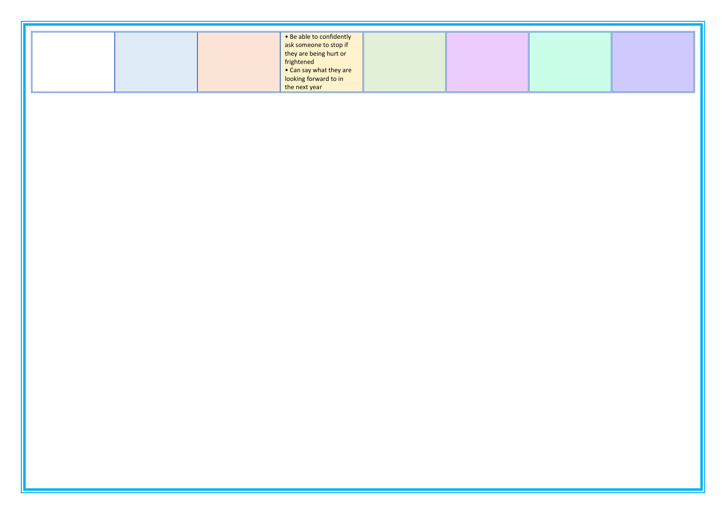|  | • Be able to confidently<br>  ask someone to stop if |  |  |
|--|------------------------------------------------------|--|--|
|  | they are being hurt or                               |  |  |
|  | frightened                                           |  |  |
|  |                                                      |  |  |
|  | • Can say what they are<br>looking forward to in     |  |  |
|  | the next year                                        |  |  |